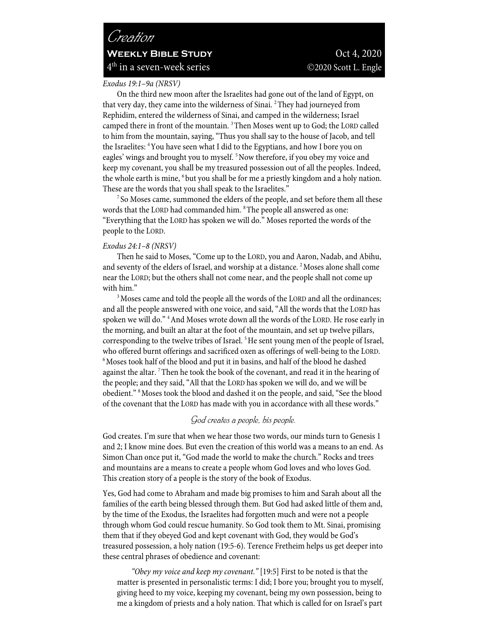# *Creation* **WEEKLY BIBLE STUDY** Oct 4, 2020  $4<sup>th</sup>$  in a seven-week series  $\odot$ 2020 Scott L. Engle

*Exodus 19:1–9a (NRSV)* 

On the third new moon after the Israelites had gone out of the land of Egypt, on that very day, they came into the wilderness of Sinai. <sup>2</sup>They had journeyed from Rephidim, entered the wilderness of Sinai, and camped in the wilderness; Israel camped there in front of the mountain. 3Then Moses went up to God; the LORD called to him from the mountain, saying, "Thus you shall say to the house of Jacob, and tell the Israelites: 4You have seen what I did to the Egyptians, and how I bore you on eagles' wings and brought you to myself.<sup>5</sup> Now therefore, if you obey my voice and keep my covenant, you shall be my treasured possession out of all the peoples. Indeed, the whole earth is mine, <sup>6</sup> but you shall be for me a priestly kingdom and a holy nation. These are the words that you shall speak to the Israelites."<br><sup>7</sup> So Moses came, summoned the elders of the people, and set before them all these

words that the LORD had commanded him. <sup>8</sup>The people all answered as one: "Everything that the LORD has spoken we will do." Moses reported the words of the people to the LORD.

### *Exodus 24:1–8 (NRSV)*

Then he said to Moses, "Come up to the LORD, you and Aaron, Nadab, and Abihu, and seventy of the elders of Israel, and worship at a distance. <sup>2</sup> Moses alone shall come near the LORD; but the others shall not come near, and the people shall not come up with him."<br><sup>3</sup>Moses came and told the people all the words of the LORD and all the ordinances;

and all the people answered with one voice, and said, "All the words that the LORD has spoken we will do."<sup>4</sup> And Moses wrote down all the words of the LORD. He rose early in the morning, and built an altar at the foot of the mountain, and set up twelve pillars, corresponding to the twelve tribes of Israel.<sup>5</sup> He sent young men of the people of Israel, who offered burnt offerings and sacrificed oxen as offerings of well-being to the LORD. <sup>6</sup>Moses took half of the blood and put it in basins, and half of the blood he dashed against the altar. 7Then he took the book of the covenant, and read it in the hearing of the people; and they said, "All that the LORD has spoken we will do, and we will be obedient." 8Moses took the blood and dashed it on the people, and said, "See the blood of the covenant that the LORD has made with you in accordance with all these words."

## *God creates a people, his people.*

God creates. I'm sure that when we hear those two words, our minds turn to Genesis 1 and 2; I know mine does. But even the creation of this world was a means to an end. As Simon Chan once put it, "God made the world to make the church." Rocks and trees and mountains are a means to create a people whom God loves and who loves God. This creation story of a people is the story of the book of Exodus.

Yes, God had come to Abraham and made big promises to him and Sarah about all the families of the earth being blessed through them. But God had asked little of them and, by the time of the Exodus, the Israelites had forgotten much and were not a people through whom God could rescue humanity. So God took them to Mt. Sinai, promising them that if they obeyed God and kept covenant with God, they would be God's treasured possession, a holy nation (19:5-6). Terence Fretheim helps us get deeper into these central phrases of obedience and covenant:

*"Obey my voice and keep my covenant."* [19:5] First to be noted is that the matter is presented in personalistic terms: I did; I bore you; brought you to myself, giving heed to my voice, keeping my covenant, being my own possession, being to me a kingdom of priests and a holy nation. That which is called for on Israel's part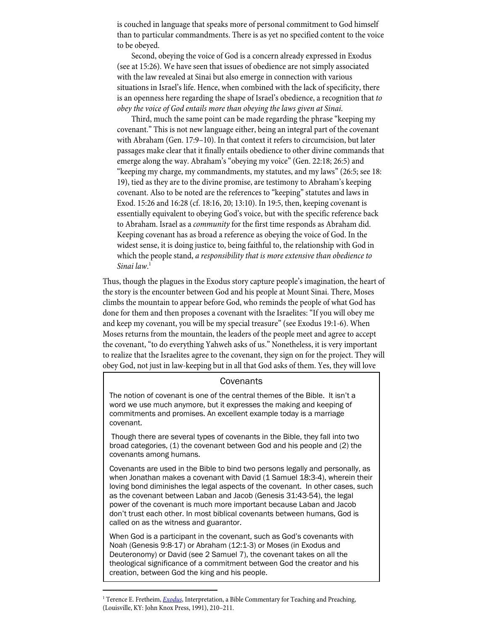is couched in language that speaks more of personal commitment to God himself than to particular commandments. There is as yet no specified content to the voice to be obeyed.

Second, obeying the voice of God is a concern already expressed in Exodus (see at 15:26). We have seen that issues of obedience are not simply associated with the law revealed at Sinai but also emerge in connection with various situations in Israel's life. Hence, when combined with the lack of specificity, there is an openness here regarding the shape of Israel's obedience, a recognition that *to obey the voice of God entails more than obeying the laws given at Sinai*.

Third, much the same point can be made regarding the phrase "keeping my covenant." This is not new language either, being an integral part of the covenant with Abraham (Gen. 17:9–10). In that context it refers to circumcision, but later passages make clear that it finally entails obedience to other divine commands that emerge along the way. Abraham's "obeying my voice" (Gen. 22:18; 26:5) and "keeping my charge, my commandments, my statutes, and my laws" (26:5; see 18: 19), tied as they are to the divine promise, are testimony to Abraham's keeping covenant. Also to be noted are the references to "keeping" statutes and laws in Exod. 15:26 and 16:28 (cf. 18:16, 20; 13:10). In 19:5, then, keeping covenant is essentially equivalent to obeying God's voice, but with the specific reference back to Abraham. Israel as a *community* for the first time responds as Abraham did. Keeping covenant has as broad a reference as obeying the voice of God. In the widest sense, it is doing justice to, being faithful to, the relationship with God in which the people stand, *a responsibility that is more extensive than obedience to Sinai law*. 1

Thus, though the plagues in the Exodus story capture people's imagination, the heart of the story is the encounter between God and his people at Mount Sinai. There, Moses climbs the mountain to appear before God, who reminds the people of what God has done for them and then proposes a covenant with the Israelites: "If you will obey me and keep my covenant, you will be my special treasure" (see Exodus 19:1-6). When Moses returns from the mountain, the leaders of the people meet and agree to accept the covenant, "to do everything Yahweh asks of us." Nonetheless, it is very important to realize that the Israelites agree to the covenant, they sign on for the project. They will obey God, not just in law-keeping but in all that God asks of them. Yes, they will love

### **Covenants**

The notion of covenant is one of the central themes of the Bible. It isn't a word we use much anymore, but it expresses the making and keeping of commitments and promises. An excellent example today is a marriage covenant.

Though there are several types of covenants in the Bible, they fall into two broad categories, (1) the covenant between God and his people and (2) the covenants among humans.

Covenants are used in the Bible to bind two persons legally and personally, as when Jonathan makes a covenant with David (1 Samuel 18:3-4), wherein their loving bond diminishes the legal aspects of the covenant. In other cases, such as the covenant between Laban and Jacob (Genesis 31:43-54), the legal power of the covenant is much more important because Laban and Jacob don't trust each other. In most biblical covenants between humans, God is called on as the witness and guarantor.

When God is a participant in the covenant, such as God's covenants with Noah (Genesis 9:8-17) or Abraham (12:1-3) or Moses (in Exodus and Deuteronomy) or David (see 2 Samuel 7), the covenant takes on all the theological significance of a commitment between God the creator and his creation, between God the king and his people.

<sup>&</sup>lt;sup>1</sup> Terence E. Fretheim, *Exodus*, Interpretation, a Bible Commentary for Teaching and Preaching, (Louisville, KY: John Knox Press, 1991), 210–211.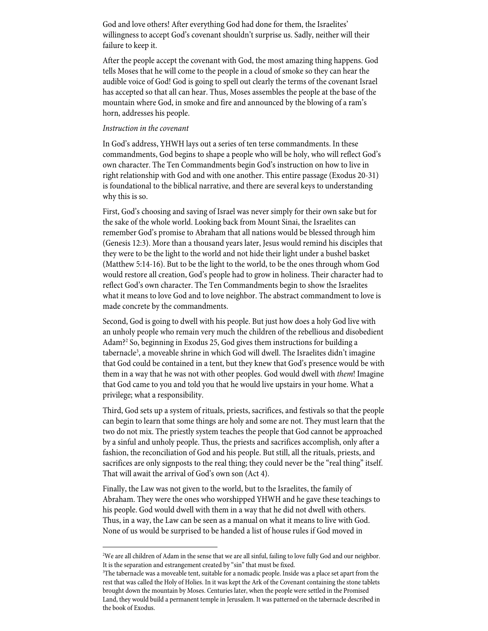God and love others! After everything God had done for them, the Israelites' willingness to accept God's covenant shouldn't surprise us. Sadly, neither will their failure to keep it.

After the people accept the covenant with God, the most amazing thing happens. God tells Moses that he will come to the people in a cloud of smoke so they can hear the audible voice of God! God is going to spell out clearly the terms of the covenant Israel has accepted so that all can hear. Thus, Moses assembles the people at the base of the mountain where God, in smoke and fire and announced by the blowing of a ram's horn, addresses his people.

### *Instruction in the covenant*

In God's address, YHWH lays out a series of ten terse commandments. In these commandments, God begins to shape a people who will be holy, who will reflect God's own character. The Ten Commandments begin God's instruction on how to live in right relationship with God and with one another. This entire passage (Exodus 20-31) is foundational to the biblical narrative, and there are several keys to understanding why this is so.

First, God's choosing and saving of Israel was never simply for their own sake but for the sake of the whole world. Looking back from Mount Sinai, the Israelites can remember God's promise to Abraham that all nations would be blessed through him (Genesis 12:3). More than a thousand years later, Jesus would remind his disciples that they were to be the light to the world and not hide their light under a bushel basket (Matthew 5:14-16). But to be the light to the world, to be the ones through whom God would restore all creation, God's people had to grow in holiness. Their character had to reflect God's own character. The Ten Commandments begin to show the Israelites what it means to love God and to love neighbor. The abstract commandment to love is made concrete by the commandments.

Second, God is going to dwell with his people. But just how does a holy God live with an unholy people who remain very much the children of the rebellious and disobedient Adam?2 So, beginning in Exodus 25, God gives them instructions for building a tabernacle<sup>3</sup>, a moveable shrine in which God will dwell. The Israelites didn't imagine that God could be contained in a tent, but they knew that God's presence would be with them in a way that he was not with other peoples. God would dwell with *them*! Imagine that God came to you and told you that he would live upstairs in your home. What a privilege; what a responsibility.

Third, God sets up a system of rituals, priests, sacrifices, and festivals so that the people can begin to learn that some things are holy and some are not. They must learn that the two do not mix. The priestly system teaches the people that God cannot be approached by a sinful and unholy people. Thus, the priests and sacrifices accomplish, only after a fashion, the reconciliation of God and his people. But still, all the rituals, priests, and sacrifices are only signposts to the real thing; they could never be the "real thing" itself. That will await the arrival of God's own son (Act 4).

Finally, the Law was not given to the world, but to the Israelites, the family of Abraham. They were the ones who worshipped YHWH and he gave these teachings to his people. God would dwell with them in a way that he did not dwell with others. Thus, in a way, the Law can be seen as a manual on what it means to live with God. None of us would be surprised to be handed a list of house rules if God moved in

<sup>2</sup> We are all children of Adam in the sense that we are all sinful, failing to love fully God and our neighbor. It is the separation and estrangement created by "sin" that must be fixed.

<sup>3</sup> The tabernacle was a moveable tent, suitable for a nomadic people. Inside was a place set apart from the rest that was called the Holy of Holies. In it was kept the Ark of the Covenant containing the stone tablets brought down the mountain by Moses. Centuries later, when the people were settled in the Promised Land, they would build a permanent temple in Jerusalem. It was patterned on the tabernacle described in the book of Exodus.